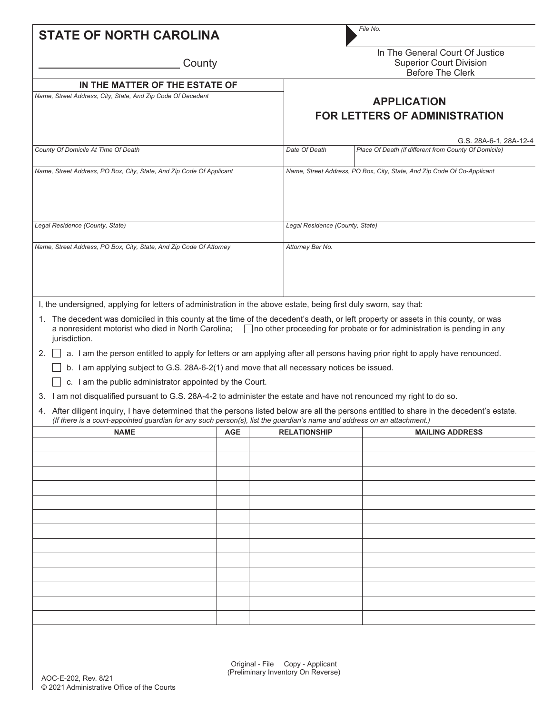| <b>STATE OF NORTH CAROLINA</b>                                       |  |                                                                         | File No.                                                                                                                                                                                                                                                                                                                                                                                                                                                                                             |  |  |  |  |
|----------------------------------------------------------------------|--|-------------------------------------------------------------------------|------------------------------------------------------------------------------------------------------------------------------------------------------------------------------------------------------------------------------------------------------------------------------------------------------------------------------------------------------------------------------------------------------------------------------------------------------------------------------------------------------|--|--|--|--|
| County                                                               |  |                                                                         | In The General Court Of Justice<br><b>Superior Court Division</b><br><b>Before The Clerk</b>                                                                                                                                                                                                                                                                                                                                                                                                         |  |  |  |  |
| IN THE MATTER OF THE ESTATE OF                                       |  |                                                                         |                                                                                                                                                                                                                                                                                                                                                                                                                                                                                                      |  |  |  |  |
| Name, Street Address, City, State, And Zip Code Of Decedent          |  | <b>APPLICATION</b><br><b>FOR LETTERS OF ADMINISTRATION</b>              |                                                                                                                                                                                                                                                                                                                                                                                                                                                                                                      |  |  |  |  |
|                                                                      |  |                                                                         |                                                                                                                                                                                                                                                                                                                                                                                                                                                                                                      |  |  |  |  |
| County Of Domicile At Time Of Death                                  |  | Date Of Death                                                           | Place Of Death (if different from County Of Domicile)                                                                                                                                                                                                                                                                                                                                                                                                                                                |  |  |  |  |
| Name, Street Address, PO Box, City, State, And Zip Code Of Applicant |  | Name, Street Address, PO Box, City, State, And Zip Code Of Co-Applicant |                                                                                                                                                                                                                                                                                                                                                                                                                                                                                                      |  |  |  |  |
| Legal Residence (County, State)                                      |  |                                                                         | Legal Residence (County, State)                                                                                                                                                                                                                                                                                                                                                                                                                                                                      |  |  |  |  |
| Name, Street Address, PO Box, City, State, And Zip Code Of Attorney  |  | Attorney Bar No.                                                        |                                                                                                                                                                                                                                                                                                                                                                                                                                                                                                      |  |  |  |  |
| a nonresident motorist who died in North Carolina;                   |  |                                                                         | 1. The decedent was domiciled in this county at the time of the decedent's death, or left property or assets in this county, or was<br>$\Box$ no other proceeding for probate or for administration is pending in any<br>a. I am the person entitled to apply for letters or am applying after all persons having prior right to apply have renounced.<br>4. After diligent inquiry, I have determined that the persons listed below are all the persons entitled to share in the decedent's estate. |  |  |  |  |
| <b>AGE</b>                                                           |  |                                                                         | <b>MAILING ADDRESS</b>                                                                                                                                                                                                                                                                                                                                                                                                                                                                               |  |  |  |  |
|                                                                      |  |                                                                         |                                                                                                                                                                                                                                                                                                                                                                                                                                                                                                      |  |  |  |  |
|                                                                      |  | c. I am the public administrator appointed by the Court.                | I, the undersigned, applying for letters of administration in the above estate, being first duly sworn, say that:<br>b. I am applying subject to G.S. 28A-6-2(1) and move that all necessary notices be issued.<br>3. I am not disqualified pursuant to G.S. 28A-4-2 to administer the estate and have not renounced my right to do so.<br>(If there is a court-appointed guardian for any such person(s), list the guardian's name and address on an attachment.)<br><b>RELATIONSHIP</b>            |  |  |  |  |